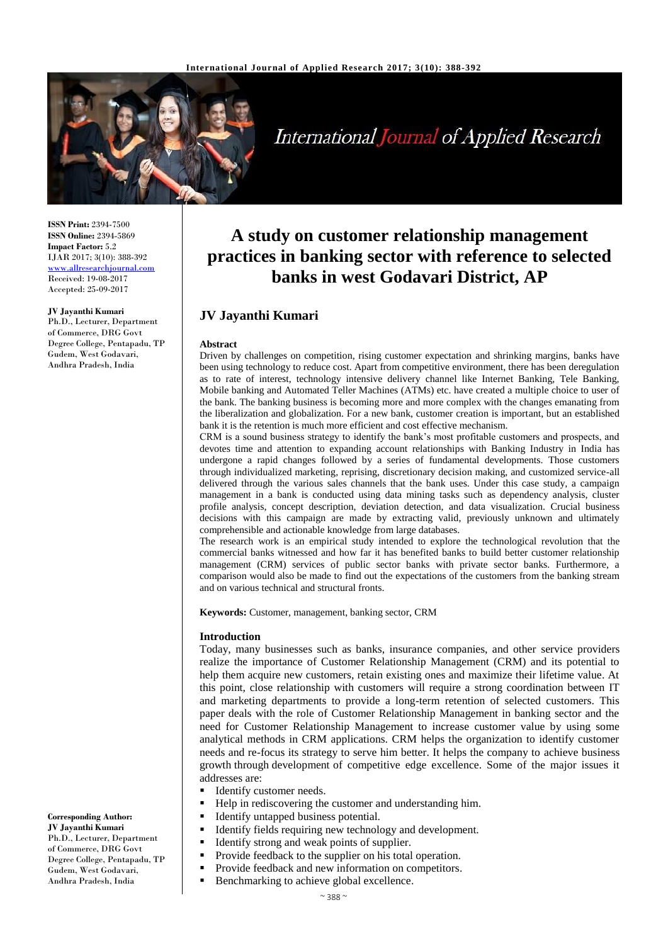

# **International Journal of Applied Research**

**ISSN Print:** 2394-7500 **ISSN Online:** 2394-5869 **Impact Factor:** 5.2 IJAR 2017; 3(10): 388-392 [www.allresearchjournal.com](http://www.allresearchjournal.com/) Received: 19-08-2017 Accepted: 25-09-2017

#### **JV Jayanthi Kumari**

Ph.D., Lecturer, Department of Commerce, DRG Govt Degree College, Pentapadu, TP Gudem, West Godavari, Andhra Pradesh, India

**Corresponding Author: JV Jayanthi Kumari**

Ph.D., Lecturer, Department of Commerce, DRG Govt Degree College, Pentapadu, TP Gudem, West Godavari, Andhra Pradesh, India

## **A study on customer relationship management practices in banking sector with reference to selected banks in west Godavari District, AP**

## **JV Jayanthi Kumari**

#### **Abstract**

Driven by challenges on competition, rising customer expectation and shrinking margins, banks have been using technology to reduce cost. Apart from competitive environment, there has been deregulation as to rate of interest, technology intensive delivery channel like Internet Banking, Tele Banking, Mobile banking and Automated Teller Machines (ATMs) etc. have created a multiple choice to user of the bank. The banking business is becoming more and more complex with the changes emanating from the liberalization and globalization. For a new bank, customer creation is important, but an established bank it is the retention is much more efficient and cost effective mechanism.

CRM is a sound business strategy to identify the bank's most profitable customers and prospects, and devotes time and attention to expanding account relationships with Banking Industry in India has undergone a rapid changes followed by a series of fundamental developments. Those customers through individualized marketing, reprising, discretionary decision making, and customized service-all delivered through the various sales channels that the bank uses. Under this case study, a campaign management in a bank is conducted using data mining tasks such as dependency analysis, cluster profile analysis, concept description, deviation detection, and data visualization. Crucial business decisions with this campaign are made by extracting valid, previously unknown and ultimately comprehensible and actionable knowledge from large databases.

The research work is an empirical study intended to explore the technological revolution that the commercial banks witnessed and how far it has benefited banks to build better customer relationship management (CRM) services of public sector banks with private sector banks. Furthermore, a comparison would also be made to find out the expectations of the customers from the banking stream and on various technical and structural fronts.

**Keywords:** Customer, management, banking sector, CRM

#### **Introduction**

Today, many businesses such as banks, insurance companies, and other service providers realize the importance of Customer Relationship Management (CRM) and its potential to help them acquire new customers, retain existing ones and maximize their lifetime value. At this point, close relationship with customers will require a strong coordination between IT and marketing departments to provide a long-term retention of selected customers. This paper deals with the role of Customer Relationship Management in banking sector and the need for Customer Relationship Management to increase customer value by using some analytical methods in CRM applications. CRM helps the organization to identify customer needs and re-focus its strategy to serve him better. It helps the company to achieve business growth through development of competitive edge excellence. Some of the major issues it addresses are:

- Identify customer needs.
- Help in rediscovering the customer and understanding him.
- **IDENTIFY UNITED IDENTIFY** Untapped business potential.
- Identify fields requiring new technology and development.
- Identify strong and weak points of supplier.
- Provide feedback to the supplier on his total operation.
- **Provide feedback and new information on competitors.** 
	- Benchmarking to achieve global excellence.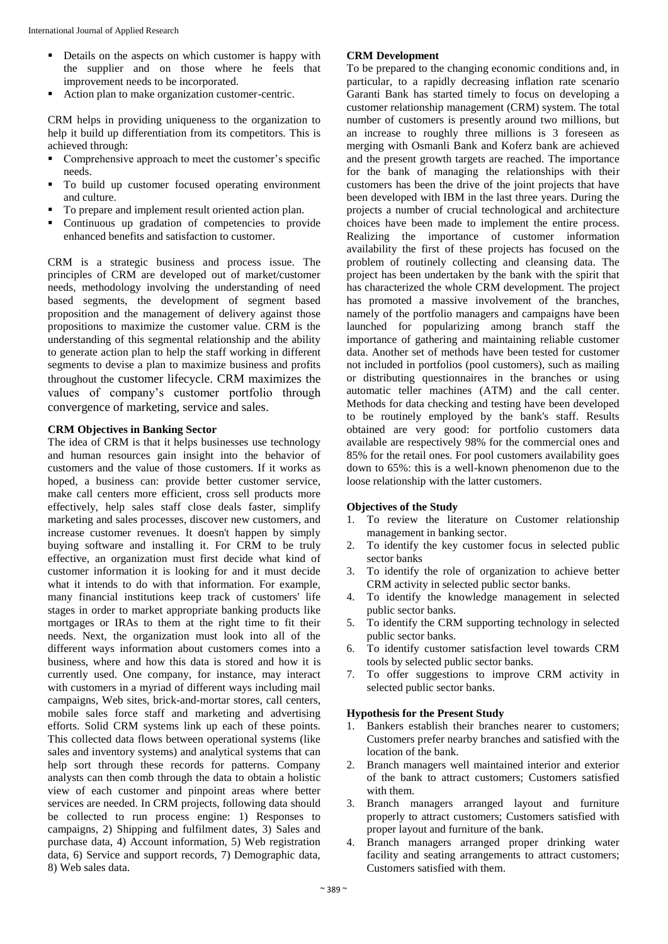- Details on the aspects on which customer is happy with the supplier and on those where he feels that improvement needs to be incorporated.
- Action plan to make organization customer-centric.

CRM helps in providing uniqueness to the organization to help it build up differentiation from its competitors. This is achieved through:

- **Comprehensive approach to meet the customer's specific** needs.
- To build up customer focused operating environment and culture.
- To prepare and implement result oriented action plan.
- Continuous up gradation of competencies to provide enhanced benefits and satisfaction to customer.

CRM is a strategic business and process issue. The principles of CRM are developed out of market/customer needs, methodology involving the understanding of need based segments, the development of segment based proposition and the management of delivery against those propositions to maximize the customer value. CRM is the understanding of this segmental relationship and the ability to generate action plan to help the staff working in different segments to devise a plan to maximize business and profits throughout the customer lifecycle. CRM maximizes the values of company's customer portfolio through convergence of marketing, service and sales.

## **CRM Objectives in Banking Sector**

The idea of CRM is that it helps businesses use technology and human resources gain insight into the behavior of customers and the value of those customers. If it works as hoped, a business can: provide better customer service, make call centers more efficient, cross sell products more effectively, help sales staff close deals faster, simplify marketing and sales processes, discover new customers, and increase customer revenues. It doesn't happen by simply buying software and installing it. For CRM to be truly effective, an organization must first decide what kind of customer information it is looking for and it must decide what it intends to do with that information. For example, many financial institutions keep track of customers' life stages in order to market appropriate banking products like mortgages or IRAs to them at the right time to fit their needs. Next, the organization must look into all of the different ways information about customers comes into a business, where and how this data is stored and how it is currently used. One company, for instance, may interact with customers in a myriad of different ways including mail campaigns, Web sites, brick-and-mortar stores, call centers, mobile sales force staff and marketing and advertising efforts. Solid CRM systems link up each of these points. This collected data flows between operational systems (like sales and inventory systems) and analytical systems that can help sort through these records for patterns. Company analysts can then comb through the data to obtain a holistic view of each customer and pinpoint areas where better services are needed. In CRM projects, following data should be collected to run process engine: 1) Responses to campaigns, 2) Shipping and fulfilment dates, 3) Sales and purchase data, 4) Account information, 5) Web registration data, 6) Service and support records, 7) Demographic data, 8) Web sales data.

## **CRM Development**

To be prepared to the changing economic conditions and, in particular, to a rapidly decreasing inflation rate scenario Garanti Bank has started timely to focus on developing a customer relationship management (CRM) system. The total number of customers is presently around two millions, but an increase to roughly three millions is 3 foreseen as merging with Osmanli Bank and Koferz bank are achieved and the present growth targets are reached. The importance for the bank of managing the relationships with their customers has been the drive of the joint projects that have been developed with IBM in the last three years. During the projects a number of crucial technological and architecture choices have been made to implement the entire process. Realizing the importance of customer information availability the first of these projects has focused on the problem of routinely collecting and cleansing data. The project has been undertaken by the bank with the spirit that has characterized the whole CRM development. The project has promoted a massive involvement of the branches, namely of the portfolio managers and campaigns have been launched for popularizing among branch staff the importance of gathering and maintaining reliable customer data. Another set of methods have been tested for customer not included in portfolios (pool customers), such as mailing or distributing questionnaires in the branches or using automatic teller machines (ATM) and the call center. Methods for data checking and testing have been developed to be routinely employed by the bank's staff. Results obtained are very good: for portfolio customers data available are respectively 98% for the commercial ones and 85% for the retail ones. For pool customers availability goes down to 65%: this is a well-known phenomenon due to the loose relationship with the latter customers.

## **Objectives of the Study**

- 1. To review the literature on Customer relationship management in banking sector.
- 2. To identify the key customer focus in selected public sector banks
- 3. To identify the role of organization to achieve better CRM activity in selected public sector banks.
- 4. To identify the knowledge management in selected public sector banks.
- 5. To identify the CRM supporting technology in selected public sector banks.
- 6. To identify customer satisfaction level towards CRM tools by selected public sector banks.
- 7. To offer suggestions to improve CRM activity in selected public sector banks.

## **Hypothesis for the Present Study**

- 1. Bankers establish their branches nearer to customers; Customers prefer nearby branches and satisfied with the location of the bank.
- 2. Branch managers well maintained interior and exterior of the bank to attract customers; Customers satisfied with them.
- 3. Branch managers arranged layout and furniture properly to attract customers; Customers satisfied with proper layout and furniture of the bank.
- 4. Branch managers arranged proper drinking water facility and seating arrangements to attract customers; Customers satisfied with them.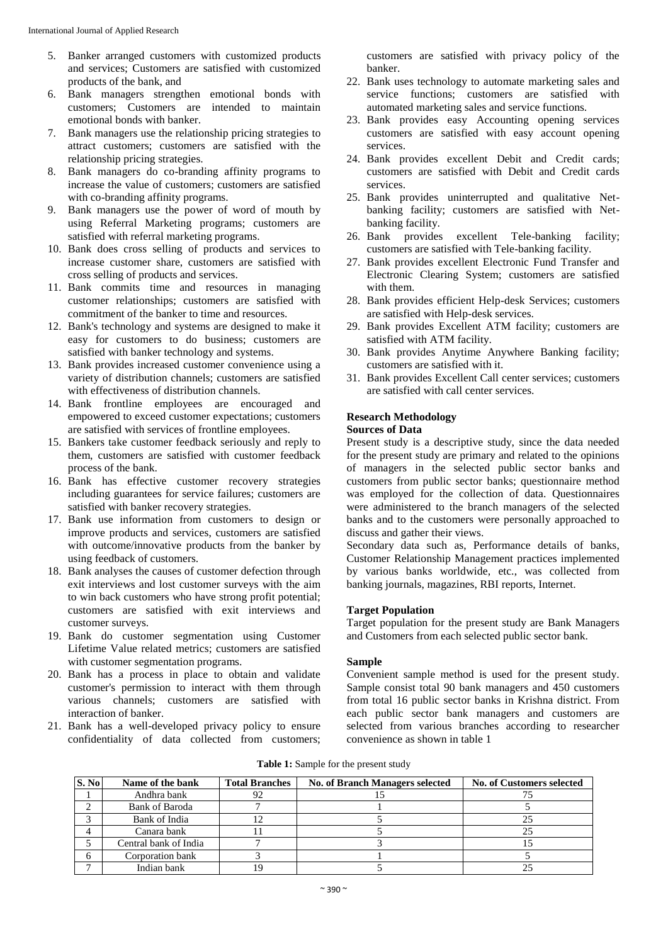- 5. Banker arranged customers with customized products and services; Customers are satisfied with customized products of the bank, and
- 6. Bank managers strengthen emotional bonds with customers; Customers are intended to maintain emotional bonds with banker.
- 7. Bank managers use the relationship pricing strategies to attract customers; customers are satisfied with the relationship pricing strategies.
- 8. Bank managers do co-branding affinity programs to increase the value of customers; customers are satisfied with co-branding affinity programs.
- 9. Bank managers use the power of word of mouth by using Referral Marketing programs; customers are satisfied with referral marketing programs.
- 10. Bank does cross selling of products and services to increase customer share, customers are satisfied with cross selling of products and services.
- 11. Bank commits time and resources in managing customer relationships; customers are satisfied with commitment of the banker to time and resources.
- 12. Bank's technology and systems are designed to make it easy for customers to do business; customers are satisfied with banker technology and systems.
- 13. Bank provides increased customer convenience using a variety of distribution channels; customers are satisfied with effectiveness of distribution channels.
- 14. Bank frontline employees are encouraged and empowered to exceed customer expectations; customers are satisfied with services of frontline employees.
- 15. Bankers take customer feedback seriously and reply to them, customers are satisfied with customer feedback process of the bank.
- 16. Bank has effective customer recovery strategies including guarantees for service failures; customers are satisfied with banker recovery strategies.
- 17. Bank use information from customers to design or improve products and services, customers are satisfied with outcome/innovative products from the banker by using feedback of customers.
- 18. Bank analyses the causes of customer defection through exit interviews and lost customer surveys with the aim to win back customers who have strong profit potential; customers are satisfied with exit interviews and customer surveys.
- 19. Bank do customer segmentation using Customer Lifetime Value related metrics; customers are satisfied with customer segmentation programs.
- 20. Bank has a process in place to obtain and validate customer's permission to interact with them through various channels; customers are satisfied with interaction of banker.
- 21. Bank has a well-developed privacy policy to ensure confidentiality of data collected from customers;

customers are satisfied with privacy policy of the banker.

- 22. Bank uses technology to automate marketing sales and service functions; customers are satisfied with automated marketing sales and service functions.
- 23. Bank provides easy Accounting opening services customers are satisfied with easy account opening services.
- 24. Bank provides excellent Debit and Credit cards; customers are satisfied with Debit and Credit cards services.
- 25. Bank provides uninterrupted and qualitative Netbanking facility; customers are satisfied with Netbanking facility.
- 26. Bank provides excellent Tele-banking facility; customers are satisfied with Tele-banking facility.
- 27. Bank provides excellent Electronic Fund Transfer and Electronic Clearing System; customers are satisfied with them.
- 28. Bank provides efficient Help-desk Services; customers are satisfied with Help-desk services.
- 29. Bank provides Excellent ATM facility; customers are satisfied with ATM facility.
- 30. Bank provides Anytime Anywhere Banking facility; customers are satisfied with it.
- 31. Bank provides Excellent Call center services; customers are satisfied with call center services.

## **Research Methodology**

#### **Sources of Data**

Present study is a descriptive study, since the data needed for the present study are primary and related to the opinions of managers in the selected public sector banks and customers from public sector banks; questionnaire method was employed for the collection of data. Questionnaires were administered to the branch managers of the selected banks and to the customers were personally approached to discuss and gather their views.

Secondary data such as, Performance details of banks, Customer Relationship Management practices implemented by various banks worldwide, etc., was collected from banking journals, magazines, RBI reports, Internet.

#### **Target Population**

Target population for the present study are Bank Managers and Customers from each selected public sector bank.

## **Sample**

Convenient sample method is used for the present study. Sample consist total 90 bank managers and 450 customers from total 16 public sector banks in Krishna district. From each public sector bank managers and customers are selected from various branches according to researcher convenience as shown in table 1

**Table 1:** Sample for the present study

| S. No | Name of the bank      | <b>Total Branches</b> | No. of Branch Managers selected | <b>No. of Customers selected</b> |
|-------|-----------------------|-----------------------|---------------------------------|----------------------------------|
|       | Andhra bank           | 92                    |                                 |                                  |
|       | Bank of Baroda        |                       |                                 |                                  |
|       | Bank of India         | ר ו                   |                                 |                                  |
|       | Canara bank           |                       |                                 | 25                               |
|       | Central bank of India |                       |                                 |                                  |
| 6     | Corporation bank      |                       |                                 |                                  |
|       | Indian bank           | 19                    |                                 |                                  |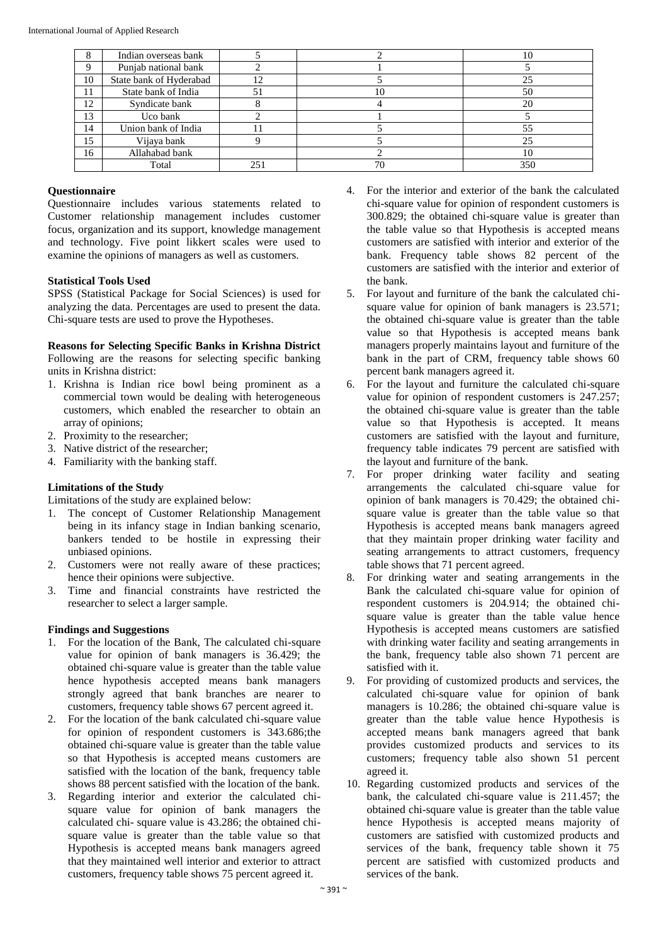|          | Indian overseas bank    |     |    | 10  |
|----------|-------------------------|-----|----|-----|
| $\Omega$ | Punjab national bank    |     |    |     |
| 10       | State bank of Hyderabad | 12  |    | 25  |
| 11       | State bank of India     | 51  | 10 | 50  |
| 12       | Syndicate bank          |     |    | 20  |
| 13       | Uco bank                |     |    |     |
| 14       | Union bank of India     |     |    | 55  |
| 15       | Vijaya bank             |     |    | 25  |
| 16       | Allahabad bank          |     |    | 10  |
|          | Total                   | 251 | 70 | 350 |

## **Questionnaire**

Questionnaire includes various statements related to Customer relationship management includes customer focus, organization and its support, knowledge management and technology. Five point likkert scales were used to examine the opinions of managers as well as customers.

## **Statistical Tools Used**

SPSS (Statistical Package for Social Sciences) is used for analyzing the data. Percentages are used to present the data. Chi-square tests are used to prove the Hypotheses.

## **Reasons for Selecting Specific Banks in Krishna District**

Following are the reasons for selecting specific banking units in Krishna district:

- 1. Krishna is Indian rice bowl being prominent as a commercial town would be dealing with heterogeneous customers, which enabled the researcher to obtain an array of opinions;
- 2. Proximity to the researcher;
- 3. Native district of the researcher;
- 4. Familiarity with the banking staff.

## **Limitations of the Study**

Limitations of the study are explained below:

- 1. The concept of Customer Relationship Management being in its infancy stage in Indian banking scenario, bankers tended to be hostile in expressing their unbiased opinions.
- 2. Customers were not really aware of these practices; hence their opinions were subjective.
- 3. Time and financial constraints have restricted the researcher to select a larger sample.

## **Findings and Suggestions**

- 1. For the location of the Bank, The calculated chi-square value for opinion of bank managers is 36.429; the obtained chi-square value is greater than the table value hence hypothesis accepted means bank managers strongly agreed that bank branches are nearer to customers, frequency table shows 67 percent agreed it.
- 2. For the location of the bank calculated chi-square value for opinion of respondent customers is 343.686;the obtained chi-square value is greater than the table value so that Hypothesis is accepted means customers are satisfied with the location of the bank, frequency table shows 88 percent satisfied with the location of the bank.
- 3. Regarding interior and exterior the calculated chisquare value for opinion of bank managers the calculated chi- square value is 43.286; the obtained chisquare value is greater than the table value so that Hypothesis is accepted means bank managers agreed that they maintained well interior and exterior to attract customers, frequency table shows 75 percent agreed it.
- 4. For the interior and exterior of the bank the calculated chi-square value for opinion of respondent customers is 300.829; the obtained chi-square value is greater than the table value so that Hypothesis is accepted means customers are satisfied with interior and exterior of the bank. Frequency table shows 82 percent of the customers are satisfied with the interior and exterior of the bank.
- 5. For layout and furniture of the bank the calculated chisquare value for opinion of bank managers is 23.571; the obtained chi-square value is greater than the table value so that Hypothesis is accepted means bank managers properly maintains layout and furniture of the bank in the part of CRM, frequency table shows 60 percent bank managers agreed it.
- 6. For the layout and furniture the calculated chi-square value for opinion of respondent customers is 247.257; the obtained chi-square value is greater than the table value so that Hypothesis is accepted. It means customers are satisfied with the layout and furniture, frequency table indicates 79 percent are satisfied with the layout and furniture of the bank.
- 7. For proper drinking water facility and seating arrangements the calculated chi-square value for opinion of bank managers is 70.429; the obtained chisquare value is greater than the table value so that Hypothesis is accepted means bank managers agreed that they maintain proper drinking water facility and seating arrangements to attract customers, frequency table shows that 71 percent agreed.
- 8. For drinking water and seating arrangements in the Bank the calculated chi-square value for opinion of respondent customers is 204.914; the obtained chisquare value is greater than the table value hence Hypothesis is accepted means customers are satisfied with drinking water facility and seating arrangements in the bank, frequency table also shown 71 percent are satisfied with it.
- 9. For providing of customized products and services, the calculated chi-square value for opinion of bank managers is 10.286; the obtained chi-square value is greater than the table value hence Hypothesis is accepted means bank managers agreed that bank provides customized products and services to its customers; frequency table also shown 51 percent agreed it.
- 10. Regarding customized products and services of the bank, the calculated chi-square value is 211.457; the obtained chi-square value is greater than the table value hence Hypothesis is accepted means majority of customers are satisfied with customized products and services of the bank, frequency table shown it 75 percent are satisfied with customized products and services of the bank.